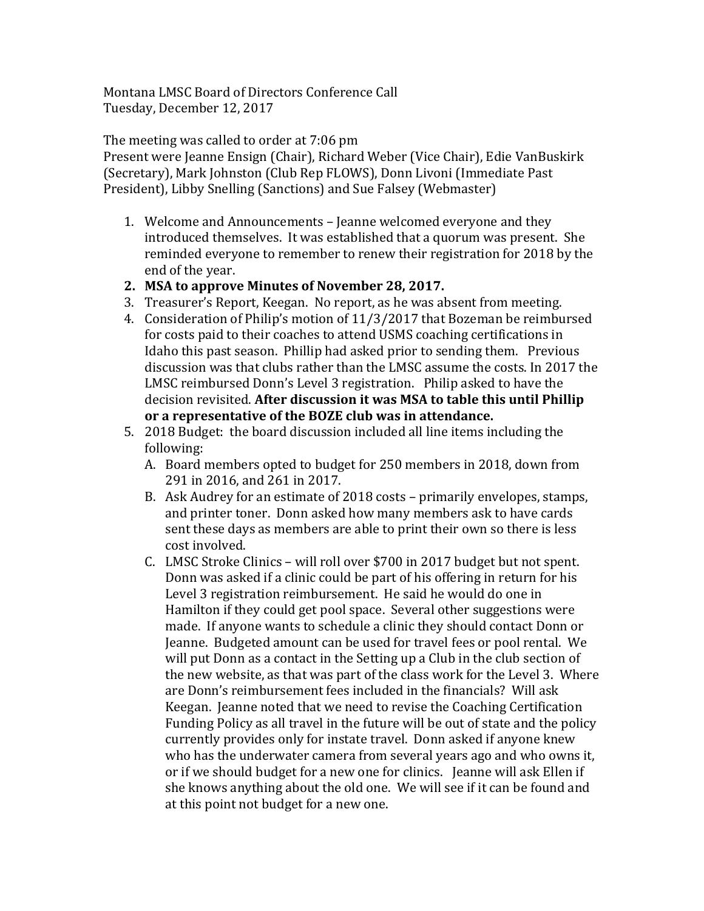Montana LMSC Board of Directors Conference Call Tuesday, December 12, 2017

The meeting was called to order at 7:06 pm

Present were Jeanne Ensign (Chair), Richard Weber (Vice Chair), Edie VanBuskirk (Secretary), Mark Johnston (Club Rep FLOWS), Donn Livoni (Immediate Past) President), Libby Snelling (Sanctions) and Sue Falsey (Webmaster)

- 1. Welcome and Announcements Jeanne welcomed everyone and they introduced themselves. It was established that a quorum was present. She reminded everyone to remember to renew their registration for 2018 by the end of the year.
- 2. MSA to approve Minutes of November 28, 2017.
- 3. Treasurer's Report, Keegan. No report, as he was absent from meeting.
- 4. Consideration of Philip's motion of  $11/3/2017$  that Bozeman be reimbursed for costs paid to their coaches to attend USMS coaching certifications in Idaho this past season. Phillip had asked prior to sending them. Previous discussion was that clubs rather than the LMSC assume the costs. In 2017 the LMSC reimbursed Donn's Level 3 registration. Philip asked to have the decision revisited. After discussion it was MSA to table this until Phillip or a representative of the BOZE club was in attendance.
- 5. 2018 Budget: the board discussion included all line items including the following:
	- A. Board members opted to budget for 250 members in 2018, down from 291 in 2016, and 261 in 2017.
	- B. Ask Audrey for an estimate of 2018 costs primarily envelopes, stamps, and printer toner. Donn asked how many members ask to have cards sent these days as members are able to print their own so there is less cost involved.
	- C. LMSC Stroke Clinics will roll over \$700 in 2017 budget but not spent. Donn was asked if a clinic could be part of his offering in return for his Level 3 registration reimbursement. He said he would do one in Hamilton if they could get pool space. Several other suggestions were made. If anyone wants to schedule a clinic they should contact Donn or Jeanne. Budgeted amount can be used for travel fees or pool rental. We will put Donn as a contact in the Setting up a Club in the club section of the new website, as that was part of the class work for the Level 3. Where are Donn's reimbursement fees included in the financials? Will ask Keegan. Jeanne noted that we need to revise the Coaching Certification Funding Policy as all travel in the future will be out of state and the policy currently provides only for instate travel. Donn asked if anyone knew who has the underwater camera from several years ago and who owns it, or if we should budget for a new one for clinics. Jeanne will ask Ellen if she knows anything about the old one. We will see if it can be found and at this point not budget for a new one.